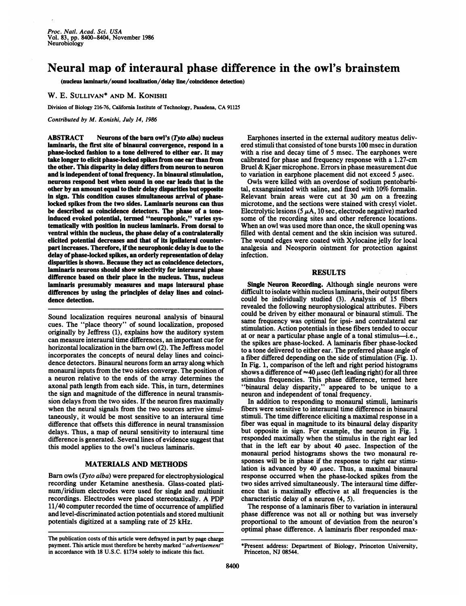## Neural map of interaural phase difference in the owl's brainstem

(nucleus laminaris/sound localization/delay line/coincidence detection)

W. E. SULLIVAN\* AND M. KONISHI

Division of Biology 216-76, California Institute of Technology, Pasadena, CA <sup>91125</sup>

Contributed by M. Konishi, July 14, 1986

ABSTRACT Neurons of the barn owl's (Tyto alba) nucleus laminaris, the first site of binaural convergence, respond in a phase-locked fashion to a tone delivered to either ear. It may take longer to elicit phase-locked spikes from one ear than from the other. This disparity in delay differs from neuron to neuron and is independent of tonal frequency. In binaural stimulation, neurons respond best when sound in one ear leads that in the other by an amount equal to their delay disparities but opposite in sign. This condition causes simultaneous arrival of phaselocked spikes from the two sides. Laminaris neurons can thus be described as coincidence detectors. The phase of a toneinduced evoked potential, termed "neurophonic," varies systematically with position in nucleus laminaris. From dorsal to ventral within the nucleus, the phase delay of a contralaterally elicited potential decreases and that of its ipsilateral counterpart increases. Therefore, if the neurophonic delay is due to the delay of phase-locked spikes, an orderly representation of delay disparities is shown. Because they act as coincidence detectors, laminaris neurons should show selectivity for interaural phase difference based on their place in the nucleus. Thus, nucleus laminaris presumably measures and maps interaural phase differences by using the principles of delay lines and coincidence detection.

Sound localization requires neuronal analysis of binaural cues. The "place theory" of sound localization, proposed originally by Jeffress (1), explains how the auditory system can measure interaural time differences, an important cue for horizontal localization in the barn owl (2). The Jeffress model incorporates the concepts of neural delay lines and coincidence detectors. Binaural neurons form an array along which monaural inputs from the two sides converge. The position of a neuron relative to the ends of the array determines the axonal path length from each side. This, in turn, determines the sign and magnitude of the difference in neural transmission delays from the two sides. If the neuron fires maximally when the neural signals from the two sources arrive simultaneously, it would be most sensitive to an interaural time difference that offsets this difference in neural transmission delays. Thus, a map of neural sensitivity to interaural time difference is generated. Several lines of evidence suggest that this model applies to the owl's nucleus laminaris.

## MATERIALS AND METHODS

Barn owls (Tyto alba) were prepared for electrophysiological recording under Ketamine anesthesia. Glass-coated platinum/iridium electrodes were used for single and multiunit recordings. Electrodes were placed stereotaxically. A PDP 11/40 computer recorded the time of occurrence of amplified and level-discriminated action potentials and stored multiunit potentials digitized at a sampling rate of 25 kHz.

Earphones inserted in the external auditory meatus delivered stimuli that consisted of tone bursts 100 msec in duration with a rise and decay time of 5 msec. The earphones were calibrated for phase and frequency response with a 1.27-cm Bruel & Kjaer microphone. Errors in phase measurement due to variation in earphone placement did not exceed 5  $\mu$ sec.

Owls were killed with an overdose of sodium pentobarbital, exsanguinated with saline, and fixed with  $10\%$  formalin. Relevant brain areas were cut at 30  $\mu$ m on a freezing microtome, and the sections were stained with cresyl violet. Electrolytic lesions (5  $\mu$ A, 10 sec, electrode negative) marked some of the recording sites and other reference locations. When an owl was used more than once, the skull opening was filled with dental cement and the skin incision was sutured. The wound edges were coated with Xylocaine jelly for local analgesia and Neosporin ointment for protection against infection.

## RESULTS

Single Neuron Recording. Although single neurons were difficult to isolate within nucleus laminaris, their output fibers could be individually studied (3). Analysis of 15 fibers revealed the following neurophysiological attributes. Fibers could be driven by either monaural or binaural stimuli. The same frequency was optimal for ipsi- and contralateral ear stimulation. Action potentials in these fibers tended to occur at or near a particular phase angle of a tonal stimulus-i.e., the spikes are phase-locked. A laminaris fiber phase-locked to a tone delivered to either ear. The preferred phase angle of a fiber differed depending on the side of stimulation (Fig. 1). In Fig. 1, comparison of the left and right period histograms shows a difference of  $\approx$ 40  $\mu$ sec (left leading right) for all three stimulus frequencies. This phase difference, termed here "binaural delay disparity," appeared to be unique to a neuron and independent of tonal frequency.

In addition to responding to monaural stimuli, laminaris fibers were sensitive to interaural time difference in binaural stimuli. The time difference eliciting a maximal response in a fiber was equal in magnitude to its binaural delay disparity but opposite in sign. For example, the neuron in Fig. 1 responded maximally when the stimulus in the right ear led that in the left ear by about 40  $\mu$ sec. Inspection of the monaural period histograms shows the two monaural responses will be in phase if the response to right ear stimulation is advanced by 40  $\mu$ sec. Thus, a maximal binaural response occurred when the phase-locked spikes from the two sides arrived simultaneously. The interaural time difference that is maximally effective at all frequencies is the characteristic delay of a neuron (4, 5).

The response of a laminaris fiber to variation in interaural phase difference was not all or nothing but was inversely proportional to the amount of deviation from the neuron's optimal phase difference. A laminaris fiber responded max-

The publication costs of this article were defrayed in part by page charge payment. This article must therefore be hereby marked "advertisement" in accordance with 18 U.S.C. §1734 solely to indicate this fact.

<sup>\*</sup>Present address: Department of Biology, Princeton University, Princeton, NJ 08544.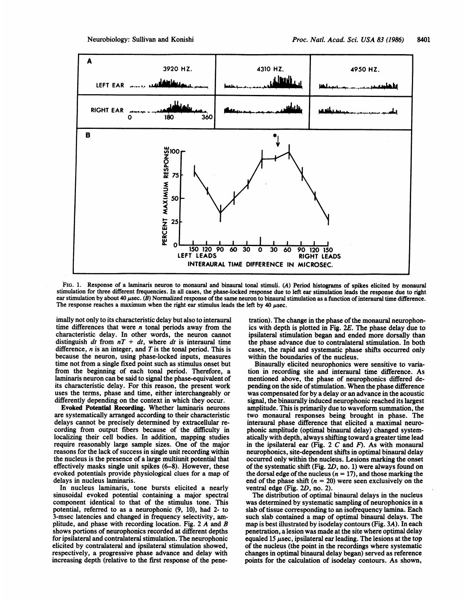

FIG. 1. Response of a laminaris neuron to monaural and binaural tonal stimuli. (A) Period histograms of spikes elicited by monaural stimulation for three different frequencies. In all cases, the phase-locked response due to left ear stimulation leads the response due to right ear stimulation by about 40  $\mu$ sec. (B) Normalized response of the same neuron to binaural stimulation as a function of interaural time difference. The response reaches a maximum when the right ear stimulus leads the left by  $40 \mu$ sec.

imally not only to its characteristic delay but also to interaural time differences that were  $n$  tonal periods away from the characteristic delay. In other words, the neuron cannot distinguish dt from  $nT + dt$ , where dt is interaural time difference,  $n$  is an integer, and  $T$  is the tonal period. This is because the neuron, using phase-locked inputs, measures time not from a single fixed point such as stimulus onset but from the beginning of each tonal period. Therefore, a laminaris neuron can be said to signal the phase-equivalent of its characteristic delay. For this reason, the present work uses the terms, phase and time, either interchangeably or differently depending on the context in which they occur.

Evoked Potential Recording. Whether laminaris neurons are systematically arranged according to their characteristic delays cannot be precisely determined by extracellular recording from output fibers because of the difficulty in localizing their cell bodies. In addition, mapping studies require reasonably large sample sizes. One of the major reasons for the lack of success in single unit recording within the nucleus is the presence of a large multiunit potential that effectively masks single unit spikes (6-8). However, these evoked potentials provide physiological clues for a map of delays in nucleus laminaris.

In nucleus laminaris, tone bursts elicited a nearly sinusoidal evoked potential containing a major spectral component identical to that of the stimulus tone. This potential, referred to as a neurophonic (9, 10), had 2- to 3-msec latencies and changed in frequency selectivity, amplitude, and phase with recording location. Fig. <sup>2</sup> A and B shows portions of neurophonics recorded at different depths for ipsilateral and contralateral stimulation. The neurophonic elicited by contralateral and ipsilateral stimulation showed, respectively, a progressive phase advance and delay with increasing depth (relative to the first response of the penetration). The change in the phase of the monaural neurophonics with depth is plotted in Fig. 2E. The phase delay due to ipsilateral stimulation began and ended more dorsally than the phase advance due to contralateral stimulation. In both cases, the rapid and systematic phase shifts occurred only within the boundaries of the nucleus.

Binaurally elicited neurophonics were sensitive to variation in recording site and interaural time difference. As mentioned above, the phase of neurophonics differed depending on the side of stimulation. When the phase difference was compensated for by a delay or an advance in the acoustic signal, the binaurally induced neurophonic reached its largest amplitude. This is primarily due to waveform summation, the two monaural responses being brought in phase. The interaural phase difference that elicited a maximal neurophonic amplitude (optimal binaural delay) changed systematically with depth, always shifting toward a greater time lead in the ipsilateral ear (Fig.  $2 C$  and  $F$ ). As with monaural neurophonics, site-dependent shifts in optimal binaural delay occurred only within the nucleus. Lesions marking the onset of the systematic shift (Fig. 2D, no. 1) were always found on the dorsal edge of the nucleus ( $n = 17$ ), and those marking the end of the phase shift  $(n = 20)$  were seen exclusively on the ventral edge (Fig. 2D, no. 2).

The distribution of optimal binaural delays in the nucleus was determined by systematic sampling of neurophonics in a slab of tissue corresponding to an isofrequency lamina. Each such slab contained a map of optimal binaural delays. The map is best illustrated by isodelay contours (Fig. 3A). In each penetration, a lesion was made at the site where optimal delay equaled 15  $\mu$ sec, ipsilateral ear leading. The lesions at the top of the nucleus (the point in the recordings where systematic changes in optimal binaural delay began) served as reference points for the calculation of isodelay contours. As shown,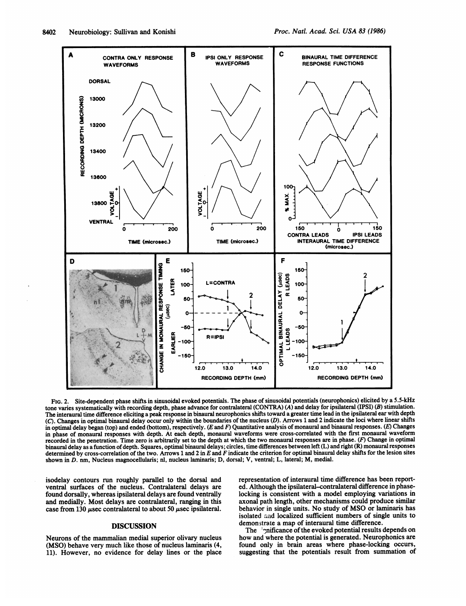

FIG. 2. Site-dependent phase shifts in sinusoidal evoked potentials. The phase of sinusoidal potentials (neurophonics) elicited by a 5.5-kHz tone varies systematically with recording depth, phase advance for contralateral (CONTRA) (A) and delay for ipsilateral (IPSI) (B) stimulation. The interaural time difference eliciting a peak response in binaural neurophonics shifts toward a greater time lead in the ipsilateral ear with depth (C). Changes in optimal binaural delay occur only within the boundaries of the nucleus (D). Arrows <sup>1</sup> and 2 indicate the loci where linear shifts in optimal delay began (top) and ended (bottom), respectively. (E and F) Quantitative analysis of monaural and binaural responses. (E) Changes in phase of monaural responses with depth. At each depth, monaural waveforms were cross-correlated with the first monaural waveform recorded in the penetration. Time zero is arbitrarily set to the depth at which the two monaural responses are in phase. (F) Change in optimal binaural delay as a function ofdepth. Squares, optimal binaural delays; circles, time differences between left (L) and right (R) monaural responses determined by cross-correlation of the two. Arrows 1 and 2 in E and F indicate the criterion for optimal binaural delay shifts for the lesion sites shown in D. nm, Nucleus magnocellularis; nl, nucleus laminaris; D, dorsal; V, ventral; L, lateral; M, medial.

isodelay contours run roughly parallel to the dorsal and ventral surfaces of the nucleus. Contralateral delays are found dorsally, whereas ipsilateral delays are found ventrally and medially. Most delays are contralateral, ranging in this case from 130  $\mu$ sec contralateral to about 50  $\mu$ sec ipsilateral.

## DISCUSSION

Neurons of the mammalian medial superior olivary nucleus (MSO) behave very much like those of nucleus laminaris (4, 11). However, no evidence for delay lines or the place representation of interaural time difference has been reported. Although the ipsilateral-contralateral difference in phaselocking is consistent with a model employing variations in axonal path length, other mechanisms could produce similar behavior in single units. No study of MSO or laminaris has isolated aad localized sufficient numbers of single units to demonstrate a map of interaural time difference.

The imificance of the evoked potential results depends on how and where the potential is generated. Neurophonics are found only in brain areas where phase-locking occurs, suggesting that the potentials result from summation of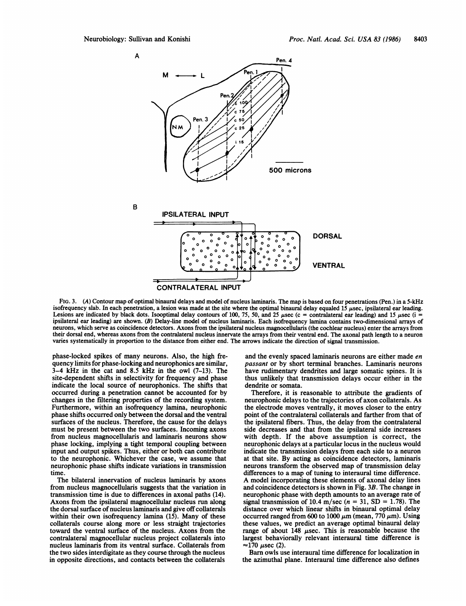

FIG. 3. (A) Contour map of optimal binaural delays and model of nucleus laminaris. The map is based on four penetrations (Pen.) in a 5-kHz isofrequency slab. In each penetration, a lesion was made at the site where the optimal binaural delay equaled 15  $\mu$ sec, ipsilateral ear leading. Lesions are indicated by black dots. Isooptimal delay contours of 100, 75, 50, and 25  $\mu$ sec (c = contralateral ear leading) and 15  $\mu$ sec (i ipsilateral ear leading) are shown. (B) Delay-line model of nucleus laminaris. Each isofrequency lamina contains two-dimensional arrays of neurons, which serve as coincidence detectors. Axons from the ipsilateral nucleus magnocellularis (the cochlear nucleus) enter the arrays from their dorsal end, whereas axons from the contralateral nucleus innervate the arrays from their ventral end. The axonal path length to a neuron varies systematically in proportion to the distance from either end. The arrows indicate the direction of signal transmission.

phase-locked spikes of many neurons. Also, the high frequency limits for phase-locking and neurophonics are similar, 3-4 kHz in the cat and 8.5 kHz in the owl (7-13). The site-dependent shifts in selectivity for frequency and phase indicate the local source of neurophonics. The shifts that occurred during a penetration cannot be accounted for by changes in the filtering properties of the recording system. Furthermore, within an isofrequency lamina, neurophonic phase shifts occurred only between the dorsal and the ventral surfaces of the nucleus. Therefore, the cause for the delays must be present between the two surfaces. Incoming axons from nucleus magnocellularis and laminaris neurons show phase locking, implying a tight temporal coupling between input and output spikes. Thus, either or both can contribute to the neurophonic. Whichever the case, we assume that neurophonic phase shifts indicate variations in transmission time.

The bilateral innervation of nucleus laminaris by axons from nucleus magnocellularis suggests that the variation in transmission time is due to differences in axonal paths (14). Axons from the ipsilateral magnocellular nucleus run along the dorsal surface of nucleus laminaris and give off collaterals within their own isofrequency lamina (15). Many of these collaterals course along more or less straight trajectories toward the ventral surface of the nucleus. Axons from the contralateral magnocellular nucleus project collaterals into nucleus laminaris from its ventral surface. Collaterals from the two sides interdigitate as they course through the nucleus in opposite directions, and contacts between the collaterals

and the evenly spaced laminaris neurons are either made en passant or by short terminal branches. Laminaris neurons have rudimentary dendrites and large somatic spines. It is thus unlikely that transmission delays occur either in the dendrite or somata.

Therefore, it is reasonable to attribute the gradients of neurophonic delays to the trajectories of axon collaterals. As the electrode moves ventrally, it moves closer to the entry point of the contralateral collaterals and farther from that of the ipsilateral fibers. Thus, the delay from the contralateral side decreases and that from the ipsilateral side increases with depth. If the above assumption is correct, the neurophonic delays at a particular locus in the nucleus would indicate the transmission delays from each side to a neuron at that site. By acting as coincidence detectors, laminaris neurons transform the observed map of transmission delay differences to a map of tuning to interaural time difference. A model incorporating these elements of axonal delay lines and coincidence detectors is shown in Fig. 3B. The change in neurophonic phase with depth amounts to an average rate of signal transmission of 10.4 m/sec ( $n = 31$ , SD = 1.78). The distance over which linear shifts in binaural optimal delay occurred ranged from 600 to 1000  $\mu$ m (mean, 770  $\mu$ m). Using these values, we predict an average optimal binaural delay range of about 148 usec. This is reasonable because the largest behaviorally relevant interaural time difference is  $\approx$ 170  $\mu$ sec (2).

Barn owls use interaural time difference for localization in the azimuthal plane. Interaural time difference also defines